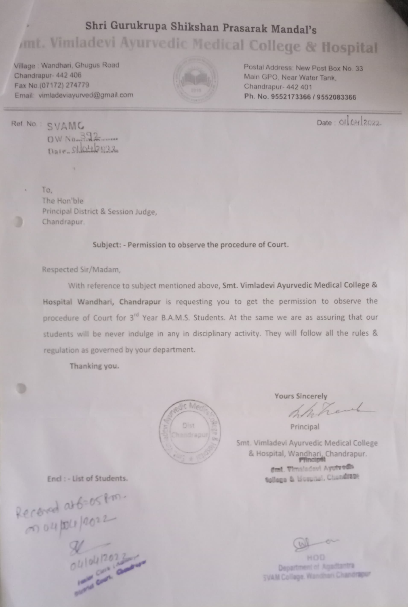# Shri Gurukrupa Shikshan Prasarak Mandal's mt. Vimladevi Ayurvedic Medical College & flospital

Village Wandhari, Ghugus Road Chandrapur- 442 406 Fax No (07172) 274779 Email vimladeviayunrved@gmail.com



Postal Address: New Post Box No. 33 Main GP0, Near Water Tank, Chandrapur- 442 401 Ph. No. 9552173366/9552083366

Ref No.: SVAMG Date: OILOHI2022 OW No- $D$ ale\_91042222

i.

To. The Hon'ble Principal District & Session Judge, Chandrapur.

Subject:-Permission to observe the procedure of Court.

Respected Sir/Madam,

with reference to subject mentioned above, Smt. Vimladevi Ayurvedic Medical College & Hospital Wandhari, Chandrapur is requesting you to get the permission to observe the procedure of Court for 3<sup>rd</sup> Year B.A.M.S. Students. At the same we are as assuring that our students will be never indulge in any in disciplinary activity. They will follow all the rules & regulation as governed by your department.

Thanking you.



Yours Sincerely

Principal

Smt. Vimladevi Ayurvedic Medical College & Hospital, Wandhari, Chandrapur. dust. Vimaladovi Ayutvedh Encl : - List of Students. **Sollogo & Ucual, Clandraoe** 

 $106-05$  fm.

 $\frac{1}{10}$  202  $\frac{2}{10}$ 

Department ef Agadtantra SVAM Collage. Wandhari Chandraper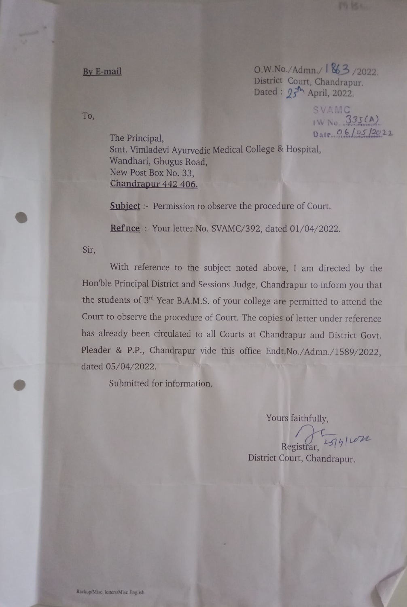$O.W.No./Admn./1863/2022$ District Court, Chandrapur. Dated:  $25^{\frac{1}{2}}$  April, 2022.

> SVAMC IW No. 335(A) Date..Q/05.2022

The Principal, Smt. Vimladevi Ayurvedic Medical College & Hospital, Wandhari, Ghugus Road, New Post Box No. 33, Chandrapur 442 406.

**Subject**: Permission to observe the procedure of Court.

Refnce: Your letter No. SVAMC/392, dated 01/04/2022.

Sir,

With reference to the subject noted above, I am directed by the Hon'ble Principal District and Sessions Judge, Chandrapur to inform you that the students of 3rd Year B.A.M.S. of your college are permitted to attend the Court to observe the procedure of Court. The copies of letter under reference has already been circulated to all Courts at Chandrapur and District Govt. Pleader & P.P., Chandrapur vide this office Endt.No./Admn./1589/2022, dated 05/04/2022.

Submitted for information.

Yours faithfully,

 $Resistrar, 1514$ 

District Court, Chandrapur.

To,

By E-mail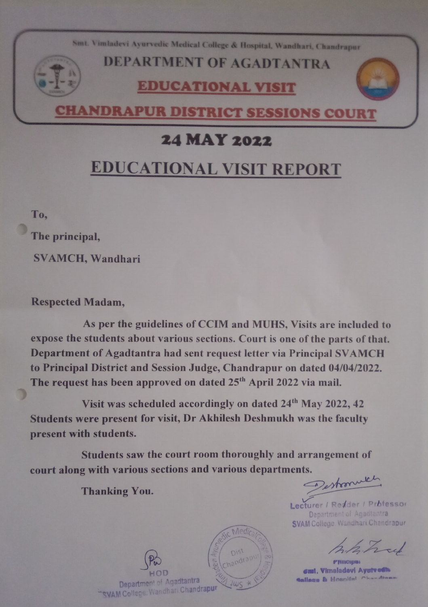Smt Vimladevi Ayurvedic Medical College & Hospital, Wandhari, Chandrapu

## DEPARTMENT OF AGADTANTRA

#### EDUCATIONALVISIT



#### 24 MAY 2022

# EDUCATIONAL VISIT REPORT

To,

The principal,

SVAMCH, Wandhari

Respected Madam,

As per the guidelines of CCIM and MUHS, Visits are included to expose the students about various sections. Court is one of the parts of that. Department of Agadtantra had sent request letter via Principal SVAMCH to Principal District and Session Judge, Chandrapur on dated 04/04/2022. The request has been approved on dated 25<sup>th</sup> April 2022 via mail.

Visit was scheduled accordingly on dated 24<sup>th</sup> May 2022, 42 Students were present for visit, Dr Akhilesh Deshmukh was the faculty present with students.

Students saw the court room thoroughly and arrangement of court along with various sections and various departments.

Thanking You.

Lecturer / Redder / Prbfessor Department of Agadtantra SVAM College Wandhari. Chandrapur

**P'Hucipai Gml, Vimaladevi Ayutv edh. Sallage & Hoanidal Charde**